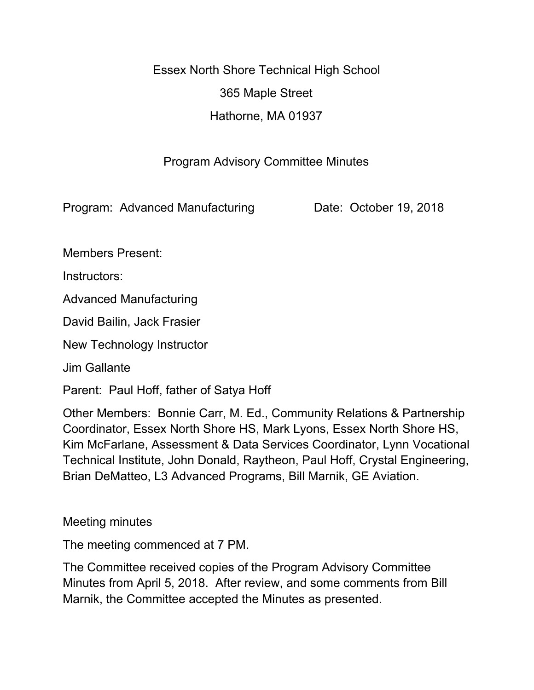Essex North Shore Technical High School 365 Maple Street Hathorne, MA 01937

## Program Advisory Committee Minutes

Program: Advanced Manufacturing Date: October 19, 2018

Members Present:

Instructors:

Advanced Manufacturing

David Bailin, Jack Frasier

New Technology Instructor

Jim Gallante

Parent: Paul Hoff, father of Satya Hoff

Other Members: Bonnie Carr, M. Ed., Community Relations & Partnership Coordinator, Essex North Shore HS, Mark Lyons, Essex North Shore HS, Kim McFarlane, Assessment & Data Services Coordinator, Lynn Vocational Technical Institute, John Donald, Raytheon, Paul Hoff, Crystal Engineering, Brian DeMatteo, L3 Advanced Programs, Bill Marnik, GE Aviation.

Meeting minutes

The meeting commenced at 7 PM.

The Committee received copies of the Program Advisory Committee Minutes from April 5, 2018. After review, and some comments from Bill Marnik, the Committee accepted the Minutes as presented.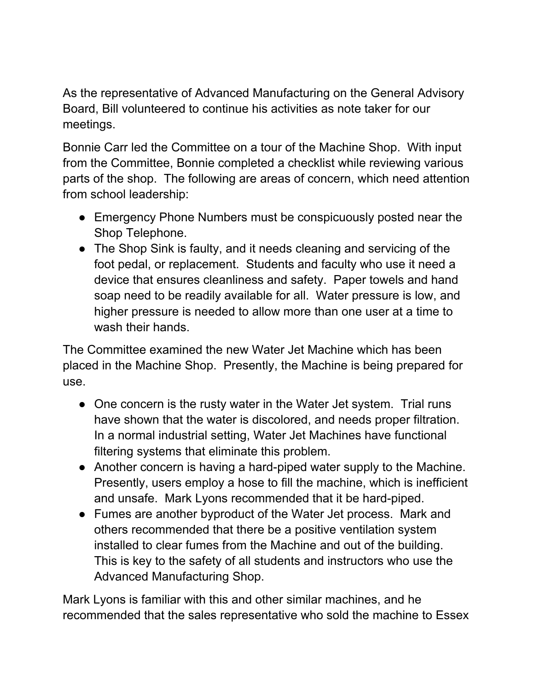As the representative of Advanced Manufacturing on the General Advisory Board, Bill volunteered to continue his activities as note taker for our meetings.

Bonnie Carr led the Committee on a tour of the Machine Shop. With input from the Committee, Bonnie completed a checklist while reviewing various parts of the shop. The following are areas of concern, which need attention from school leadership:

- Emergency Phone Numbers must be conspicuously posted near the Shop Telephone.
- The Shop Sink is faulty, and it needs cleaning and servicing of the foot pedal, or replacement. Students and faculty who use it need a device that ensures cleanliness and safety. Paper towels and hand soap need to be readily available for all. Water pressure is low, and higher pressure is needed to allow more than one user at a time to wash their hands.

The Committee examined the new Water Jet Machine which has been placed in the Machine Shop. Presently, the Machine is being prepared for use.

- One concern is the rusty water in the Water Jet system. Trial runs have shown that the water is discolored, and needs proper filtration. In a normal industrial setting, Water Jet Machines have functional filtering systems that eliminate this problem.
- Another concern is having a hard-piped water supply to the Machine. Presently, users employ a hose to fill the machine, which is inefficient and unsafe. Mark Lyons recommended that it be hard-piped.
- Fumes are another byproduct of the Water Jet process. Mark and others recommended that there be a positive ventilation system installed to clear fumes from the Machine and out of the building. This is key to the safety of all students and instructors who use the Advanced Manufacturing Shop.

Mark Lyons is familiar with this and other similar machines, and he recommended that the sales representative who sold the machine to Essex